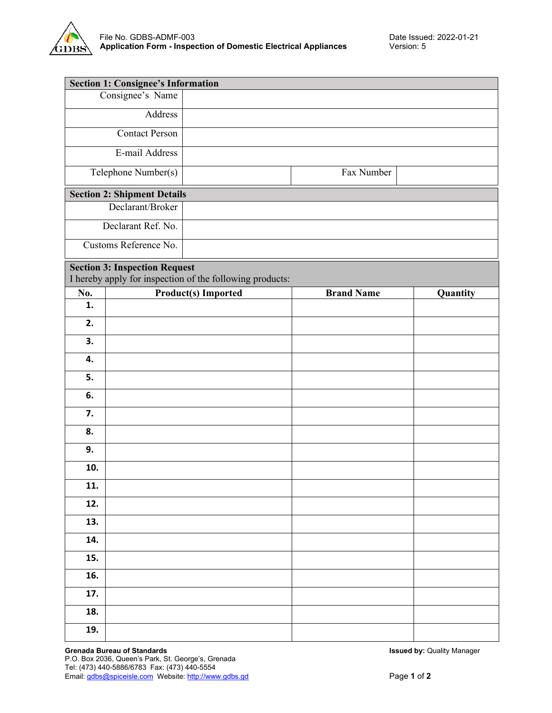

|                       | <b>Section 1: Consignee's Information</b> |                                                          |                   |          |
|-----------------------|-------------------------------------------|----------------------------------------------------------|-------------------|----------|
|                       | Consignee's Name                          |                                                          |                   |          |
|                       | Address                                   |                                                          |                   |          |
| <b>Contact Person</b> |                                           |                                                          |                   |          |
| E-mail Address        |                                           |                                                          |                   |          |
|                       | Telephone Number(s)                       |                                                          | Fax Number        |          |
|                       | <b>Section 2: Shipment Details</b>        |                                                          |                   |          |
| Declarant/Broker      |                                           |                                                          |                   |          |
|                       | Declarant Ref. No.                        |                                                          |                   |          |
|                       | Customs Reference No.                     |                                                          |                   |          |
|                       | <b>Section 3: Inspection Request</b>      |                                                          |                   |          |
|                       |                                           | I hereby apply for inspection of the following products: | <b>Brand Name</b> |          |
| No.<br>1.             |                                           | <b>Product(s) Imported</b>                               |                   | Quantity |
| 2.                    |                                           |                                                          |                   |          |
| 3.                    |                                           |                                                          |                   |          |
| 4.                    |                                           |                                                          |                   |          |
| 5.                    |                                           |                                                          |                   |          |
| 6.                    |                                           |                                                          |                   |          |
| 7.                    |                                           |                                                          |                   |          |
| 8.                    |                                           |                                                          |                   |          |
| 9.                    |                                           |                                                          |                   |          |
| 10.                   |                                           |                                                          |                   |          |
| 11.                   |                                           |                                                          |                   |          |
| 12.                   |                                           |                                                          |                   |          |
| 13.                   |                                           |                                                          |                   |          |
| 14.                   |                                           |                                                          |                   |          |
| 15.                   |                                           |                                                          |                   |          |
| 16.                   |                                           |                                                          |                   |          |
| 17.                   |                                           |                                                          |                   |          |
| 18.                   |                                           |                                                          |                   |          |
| 19.                   |                                           |                                                          |                   |          |